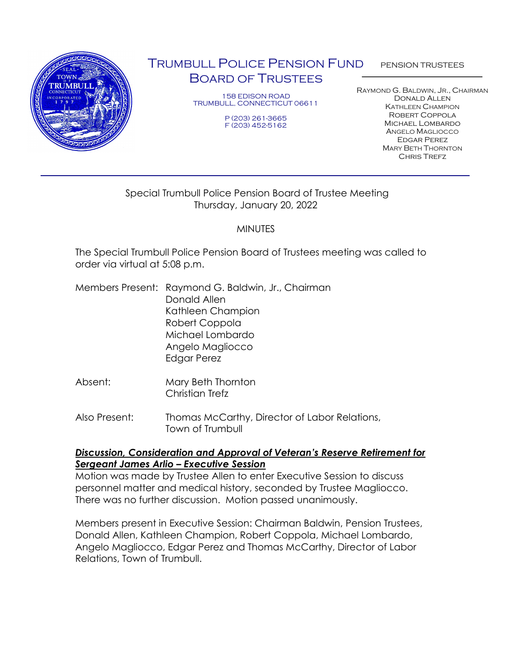

# TRUMBULL POLICE PENSION FUND BOARD OF TRUSTEES

158 EDISON ROAD TRUMBULL, CONNECTICUT 06611

> P (203) 261-3665 F (203) 452-5162

PENSION TRUSTEES

RAYMOND G. BALDWIN, JR., CHAIRMAN Donald Allen KATHLEEN CHAMPION Robert Coppola Michael Lombardo ANGELO MAGLIOCCO Edgar Perez MARY BETH THORNTON **CHRIS TREFZ** 

# Special Trumbull Police Pension Board of Trustee Meeting Thursday, January 20, 2022

# MINUTES

The Special Trumbull Police Pension Board of Trustees meeting was called to order via virtual at 5:08 p.m.

- Members Present: Raymond G. Baldwin, Jr., Chairman Donald Allen Kathleen Champion Robert Coppola Michael Lombardo Angelo Magliocco Edgar Perez
- Absent: Mary Beth Thornton Christian Trefz
- Also Present: Thomas McCarthy, Director of Labor Relations, Town of Trumbull

## *Discussion, Consideration and Approval of Veteran's Reserve Retirement for Sergeant James Arlio – Executive Session*

Motion was made by Trustee Allen to enter Executive Session to discuss personnel matter and medical history, seconded by Trustee Magliocco. There was no further discussion. Motion passed unanimously.

Members present in Executive Session: Chairman Baldwin, Pension Trustees, Donald Allen, Kathleen Champion, Robert Coppola, Michael Lombardo, Angelo Magliocco, Edgar Perez and Thomas McCarthy, Director of Labor Relations, Town of Trumbull.